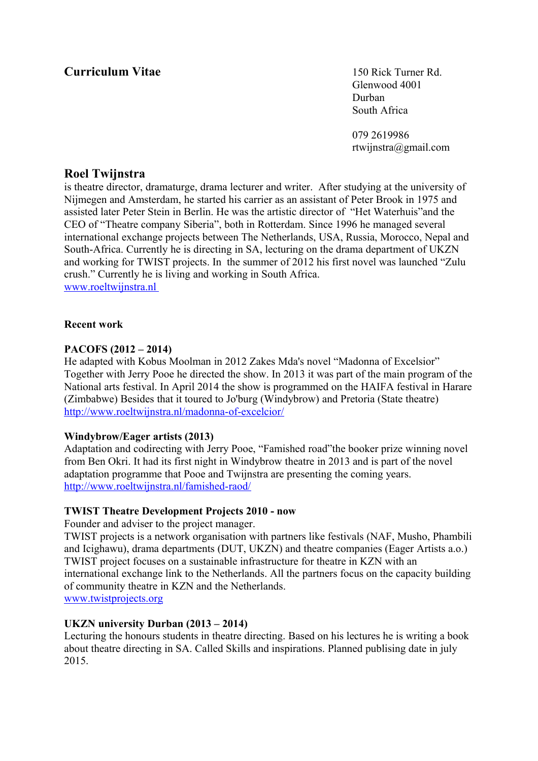# **Curriculum Vitae** 150 Rick Turner Rd.

Glenwood 4001 Durban South Africa

079 2619986 rtwijnstra@gmail.com

# **Roel Twijnstra**

is theatre director, dramaturge, drama lecturer and writer. After studying at the university of Nijmegen and Amsterdam, he started his carrier as an assistant of Peter Brook in 1975 and assisted later Peter Stein in Berlin. He was the artistic director of "Het Waterhuis"and the CEO of "Theatre company Siberia", both in Rotterdam. Since 1996 he managed several international exchange projects between The Netherlands, USA, Russia, Morocco, Nepal and South-Africa. Currently he is directing in SA, lecturing on the drama department of UKZN and working for TWIST projects. In the summer of 2012 his first novel was launched "Zulu crush." Currently he is living and working in South Africa.  [www.roeltwijnstra.nl](http://www.roeltwijnstra.nl/)

## **Recent work**

## **PACOFS (2012 – 2014)**

He adapted with Kobus Moolman in 2012 Zakes Mda's novel "Madonna of Excelsior" Together with Jerry Pooe he directed the show. In 2013 it was part of the main program of the National arts festival. In April 2014 the show is programmed on the HAIFA festival in Harare (Zimbabwe) Besides that it toured to Jo'burg (Windybrow) and Pretoria (State theatre) <http://www.roeltwijnstra.nl/madonna-of-excelcior/>

#### **Windybrow/Eager artists (2013)**

Adaptation and codirecting with Jerry Pooe, "Famished road"the booker prize winning novel from Ben Okri. It had its first night in Windybrow theatre in 2013 and is part of the novel adaptation programme that Pooe and Twijnstra are presenting the coming years. <http://www.roeltwijnstra.nl/famished-raod/>

#### **TWIST Theatre Development Projects 2010 - now**

Founder and adviser to the project manager.

TWIST projects is a network organisation with partners like festivals (NAF, Musho, Phambili and Icighawu), drama departments (DUT, UKZN) and theatre companies (Eager Artists a.o.) TWIST project focuses on a sustainable infrastructure for theatre in KZN with an international exchange link to the Netherlands. All the partners focus on the capacity building of community theatre in KZN and the Netherlands.  [www.twistprojects. o](http://www.twistprojects.co.za/)rg

# **UKZN university Durban (2013 – 2014)**

Lecturing the honours students in theatre directing. Based on his lectures he is writing a book about theatre directing in SA. Called Skills and inspirations. Planned publising date in july 2015.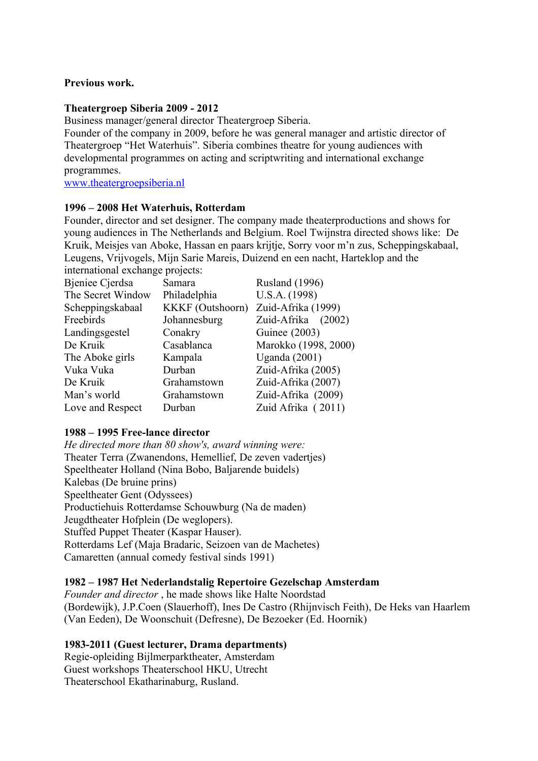## **Previous work.**

## **Theatergroep Siberia 2009 - 2012**

Business manager/general director Theatergroep Siberia.

Founder of the company in 2009, before he was general manager and artistic director of Theatergroep "Het Waterhuis". Siberia combines theatre for young audiences with developmental programmes on acting and scriptwriting and international exchange programmes.

[www.theatergroepsiberia.nl](http://www.theatergroepsiberia.nl/)

## **1996 – 2008 Het Waterhuis, Rotterdam**

Founder, director and set designer. The company made theaterproductions and shows for young audiences in The Netherlands and Belgium. Roel Twijnstra directed shows like: De Kruik, Meisjes van Aboke, Hassan en paars krijtje, Sorry voor m'n zus, Scheppingskabaal, Leugens, Vrijvogels, Mijn Sarie Mareis, Duizend en een nacht, Harteklop and the international exchange projects:

| international exemange projects. |                         |                       |
|----------------------------------|-------------------------|-----------------------|
| <b>Bjeniee Cjerdsa</b>           | Samara                  | <b>Rusland</b> (1996) |
| The Secret Window                | Philadelphia            | U.S.A. (1998)         |
| Scheppingskabaal                 | <b>KKKF</b> (Outshoorn) | Zuid-Afrika (1999)    |
| Freebirds                        | Johannesburg            | Zuid-Afrika<br>(2002) |
| Landingsgestel                   | Conakry                 | <b>Guinee</b> (2003)  |
| De Kruik                         | Casablanca              | Marokko (1998, 2000)  |
| The Aboke girls                  | Kampala                 | Uganda $(2001)$       |
| Vuka Vuka                        | Durban                  | Zuid-Afrika (2005)    |
| De Kruik                         | Grahamstown             | Zuid-Afrika (2007)    |
| Man's world                      | Grahamstown             | Zuid-Afrika (2009)    |
| Love and Respect                 | Durban                  | Zuid Afrika (2011)    |
|                                  |                         |                       |

## **1988 – 1995 Free-lance director**

*He directed more than 80 show's, award winning were:*  Theater Terra (Zwanendons, Hemellief, De zeven vadertjes) Speeltheater Holland (Nina Bobo, Baljarende buidels) Kalebas (De bruine prins) Speeltheater Gent (Odyssees) Productiehuis Rotterdamse Schouwburg (Na de maden) Jeugdtheater Hofplein (De weglopers). Stuffed Puppet Theater (Kaspar Hauser). Rotterdams Lef (Maja Bradaric, Seizoen van de Machetes) Camaretten (annual comedy festival sinds 1991)

# **1982 – 1987 Het Nederlandstalig Repertoire Gezelschap Amsterdam**

*Founder and director* , he made shows like Halte Noordstad (Bordewijk), J.P.Coen (Slauerhoff), Ines De Castro (Rhijnvisch Feith), De Heks van Haarlem (Van Eeden), De Woonschuit (Defresne), De Bezoeker (Ed. Hoornik)

# **1983-2011 (Guest lecturer, Drama departments)**

Regie-opleiding Bijlmerparktheater, Amsterdam Guest workshops Theaterschool HKU, Utrecht Theaterschool Ekatharinaburg, Rusland.